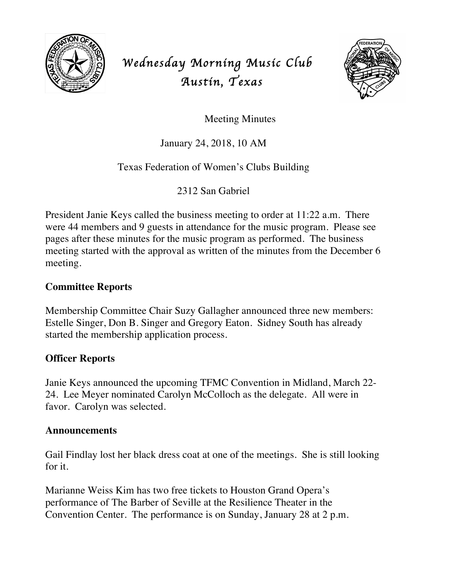

# *Wednesday Morning Music Club Austin, Texas*



Meeting Minutes

January 24, 2018, 10 AM

## Texas Federation of Women's Clubs Building

2312 San Gabriel

President Janie Keys called the business meeting to order at 11:22 a.m. There were 44 members and 9 guests in attendance for the music program. Please see pages after these minutes for the music program as performed. The business meeting started with the approval as written of the minutes from the December 6 meeting.

#### **Committee Reports**

Membership Committee Chair Suzy Gallagher announced three new members: Estelle Singer, Don B. Singer and Gregory Eaton. Sidney South has already started the membership application process.

### **Officer Reports**

Janie Keys announced the upcoming TFMC Convention in Midland, March 22- 24. Lee Meyer nominated Carolyn McColloch as the delegate. All were in favor. Carolyn was selected.

#### **Announcements**

Gail Findlay lost her black dress coat at one of the meetings. She is still looking for it.

Marianne Weiss Kim has two free tickets to Houston Grand Opera's performance of The Barber of Seville at the Resilience Theater in the Convention Center. The performance is on Sunday, January 28 at 2 p.m.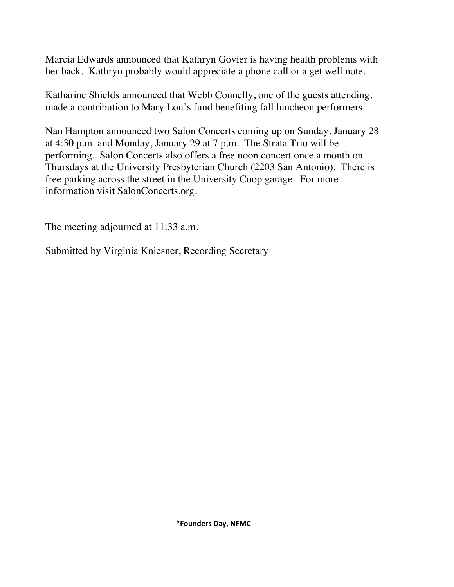Marcia Edwards announced that Kathryn Govier is having health problems with her back. Kathryn probably would appreciate a phone call or a get well note.

Katharine Shields announced that Webb Connelly, one of the guests attending, made a contribution to Mary Lou's fund benefiting fall luncheon performers.

Nan Hampton announced two Salon Concerts coming up on Sunday, January 28 at 4:30 p.m. and Monday, January 29 at 7 p.m. The Strata Trio will be performing. Salon Concerts also offers a free noon concert once a month on Thursdays at the University Presbyterian Church (2203 San Antonio). There is free parking across the street in the University Coop garage. For more information visit SalonConcerts.org.

The meeting adjourned at 11:33 a.m.

Submitted by Virginia Kniesner, Recording Secretary